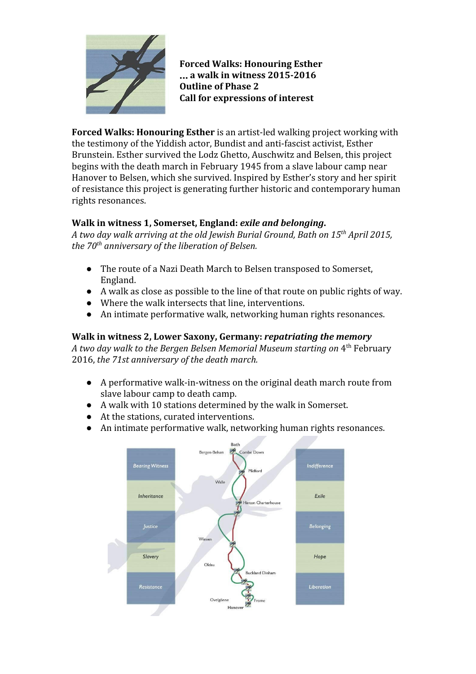

**Forced Walks: Honouring Esther** … **a walk in witness 2015-2016 Outline of Phase 2 Call for expressions of interest**

**Forced Walks: Honouring Esther** is an artist-led walking project working with the testimony of the Yiddish actor, Bundist and anti-fascist activist, Esther Brunstein. Esther survived the Lodz Ghetto, Auschwitz and Belsen, this project begins with the death march in February 1945 from a slave labour camp near Hanover to Belsen, which she survived. Inspired by Esther's story and her spirit of resistance this project is generating further historic and contemporary human rights resonances.

### **Walk in witness 1, Somerset, England:** *exile and belonging***.**

*A two day walk arriving at the old Jewish Burial Ground, Bath on 15 th April 2015, the 70 th anniversary of the liberation of Belsen.*

- The route of a Nazi Death March to Belsen transposed to Somerset, England.
- A walk as close as possible to the line of that route on public rights of way.
- Where the walk intersects that line, interventions.
- An intimate performative walk, networking human rights resonances.

## **Walk in witness 2, Lower Saxony, Germany:** *repatriating the memory*

*A two day walk to the Bergen Belsen Memorial Museum starting on* 4 th February 2016, *the 71st anniversary of the death march.*

- A performative walk-in-witness on the original death march route from slave labour camp to death camp.
- A walk with 10 stations determined by the walk in Somerset.
- At the stations, curated interventions.
- An intimate performative walk, networking human rights resonances.

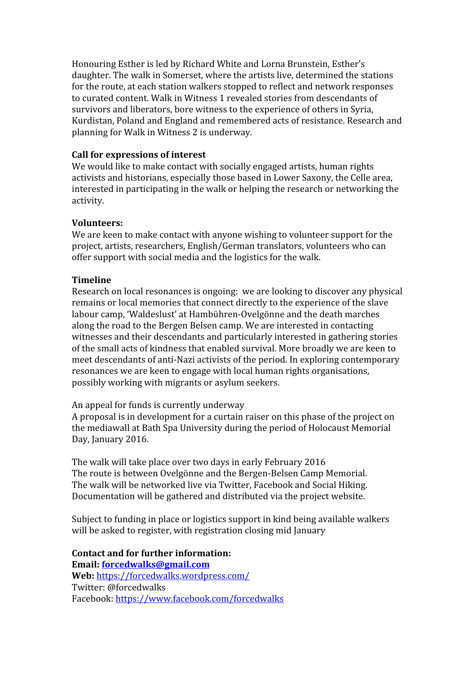Honouring Esther is led by Richard White and Lorna Brunstein, Esther's daughter. The walk in Somerset, where the artists live, determined the stations for the route, at each station walkers stopped to reflect and network responses to curated content. Walk in Witness 1 revealed stories from descendants of survivors and liberators, bore witness to the experience of others in Syria, Kurdistan, Poland and England and remembered acts of resistance. Research and planning for Walk in Witness 2 is underway.

#### **Call for expressions of interest**

We would like to make contact with socially engaged artists, human rights activists and historians, especially those based in Lower Saxony, the Celle area, interested in participating in the walk or helping the research or networking the activity.

#### **Volunteers:**

We are keen to make contact with anyone wishing to volunteer support for the project, artists, researchers, English/German translators, volunteers who can offer support with social media and the logistics for the walk.

#### **Timeline**

Research on local resonances is ongoing: we are looking to discover any physical remains or local memories that connect directly to the experience of the slave labour camp, 'Waldeslust' at Hambühren-Ovelgönne and the death marches along the road to the Bergen Belsen camp. We are interested in contacting witnesses and their descendants and particularly interested in gathering stories of the small acts of kindness that enabled survival. More broadly we are keen to meet descendants of anti-Nazi activists of the period. In exploring contemporary resonances we are keen to engage with local human rights organisations, possibly working with migrants or asylum seekers.

An appeal for funds is currently underway

A proposal is in development for a curtain raiser on this phase of the project on the mediawall at Bath Spa University during the period of Holocaust Memorial Day, January 2016.

The walk will take place over two days in early February 2016 The route is between Ovelgönne and the Bergen-Belsen Camp Memorial. The walk will be networked live via Twitter, Facebook and Social Hiking. Documentation will be gathered and distributed via the project website.

Subject to funding in place or logistics support in kind being available walkers will be asked to register, with registration closing mid January

# **Contact and for further information:**

**Email: [forcedwalks@gmail.com](mailto:forcedwalks@gmail.com) Web:** <https://forcedwalks.wordpress.com/> Twitter: @forcedwalks

Facebook: <https://www.facebook.com/forcedwalks>